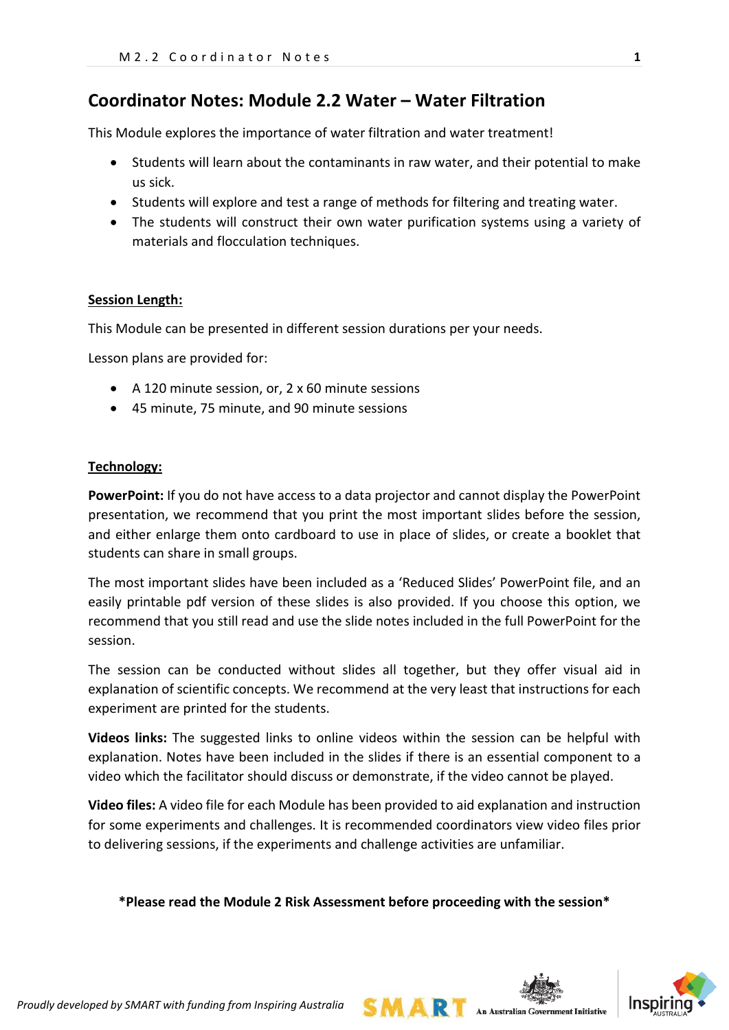# **Coordinator Notes: Module 2.2 Water – Water Filtration**

This Module explores the importance of water filtration and water treatment!

- Students will learn about the contaminants in raw water, and their potential to make us sick.
- Students will explore and test a range of methods for filtering and treating water.
- The students will construct their own water purification systems using a variety of materials and flocculation techniques.

#### **Session Length:**

This Module can be presented in different session durations per your needs.

Lesson plans are provided for:

- A 120 minute session, or, 2 x 60 minute sessions
- 45 minute, 75 minute, and 90 minute sessions

#### **Technology:**

**PowerPoint:** If you do not have access to a data projector and cannot display the PowerPoint presentation, we recommend that you print the most important slides before the session, and either enlarge them onto cardboard to use in place of slides, or create a booklet that students can share in small groups.

The most important slides have been included as a 'Reduced Slides' PowerPoint file, and an easily printable pdf version of these slides is also provided. If you choose this option, we recommend that you still read and use the slide notes included in the full PowerPoint for the session.

The session can be conducted without slides all together, but they offer visual aid in explanation of scientific concepts. We recommend at the very least that instructions for each experiment are printed for the students.

**Videos links:** The suggested links to online videos within the session can be helpful with explanation. Notes have been included in the slides if there is an essential component to a video which the facilitator should discuss or demonstrate, if the video cannot be played.

**Video files:** A video file for each Module has been provided to aid explanation and instruction for some experiments and challenges. It is recommended coordinators view video files prior to delivering sessions, if the experiments and challenge activities are unfamiliar.

**\*Please read the Module 2 Risk Assessment before proceeding with the session\***

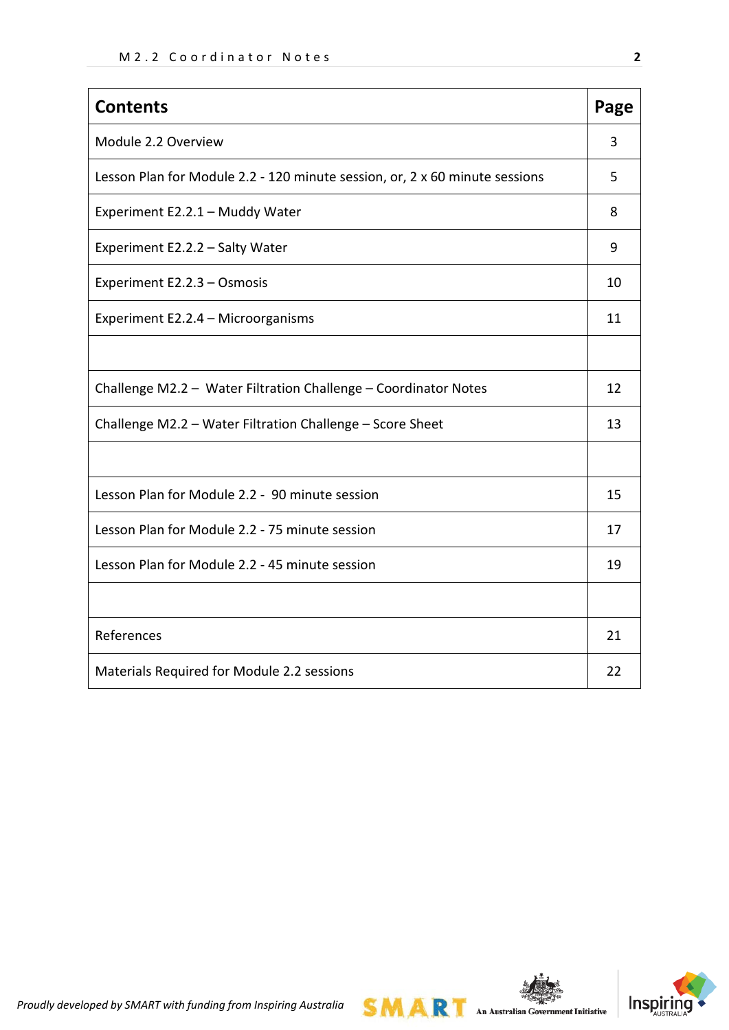| <b>Contents</b>                                                             | Page |  |  |  |
|-----------------------------------------------------------------------------|------|--|--|--|
| Module 2.2 Overview                                                         | 3    |  |  |  |
| Lesson Plan for Module 2.2 - 120 minute session, or, 2 x 60 minute sessions | 5    |  |  |  |
| Experiment E2.2.1 - Muddy Water                                             | 8    |  |  |  |
| Experiment E2.2.2 - Salty Water                                             | 9    |  |  |  |
| Experiment E2.2.3 - Osmosis                                                 | 10   |  |  |  |
| Experiment E2.2.4 - Microorganisms                                          | 11   |  |  |  |
|                                                                             |      |  |  |  |
| Challenge M2.2 - Water Filtration Challenge - Coordinator Notes             | 12   |  |  |  |
| Challenge M2.2 - Water Filtration Challenge - Score Sheet                   |      |  |  |  |
|                                                                             |      |  |  |  |
| Lesson Plan for Module 2.2 - 90 minute session                              | 15   |  |  |  |
| Lesson Plan for Module 2.2 - 75 minute session                              | 17   |  |  |  |
| Lesson Plan for Module 2.2 - 45 minute session                              |      |  |  |  |
|                                                                             |      |  |  |  |
| References                                                                  | 21   |  |  |  |
| Materials Required for Module 2.2 sessions                                  | 22   |  |  |  |



*Proudly developed by SMART with funding from Inspiring Australia*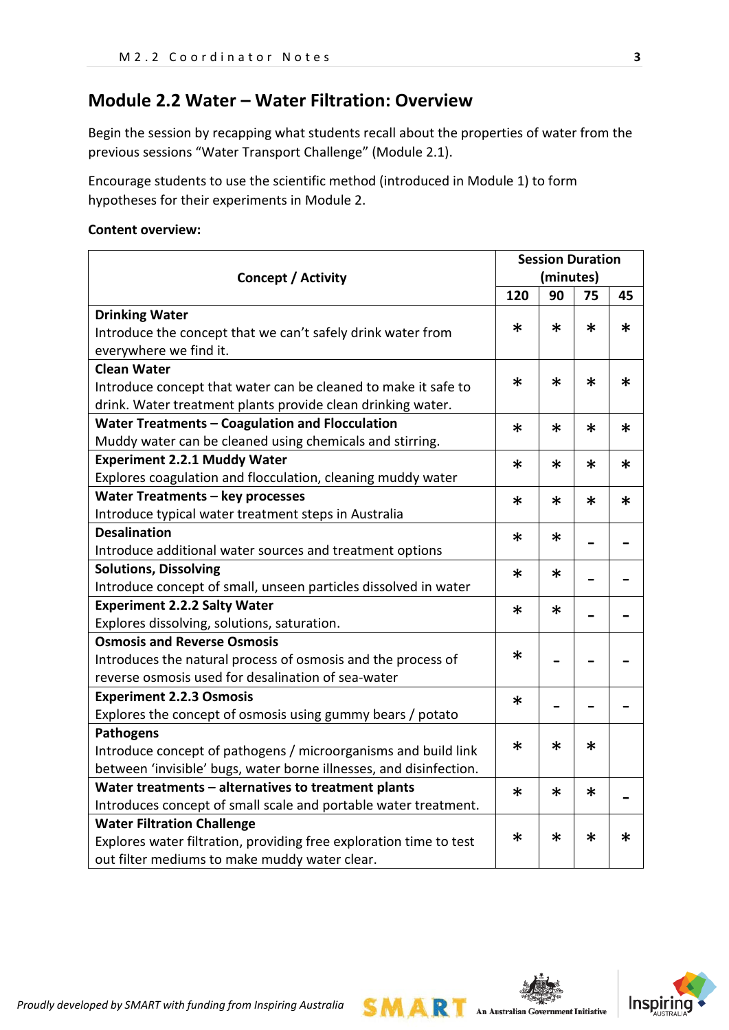# **Module 2.2 Water – Water Filtration: Overview**

Begin the session by recapping what students recall about the properties of water from the previous sessions "Water Transport Challenge" (Module 2.1).

Encourage students to use the scientific method (introduced in Module 1) to form hypotheses for their experiments in Module 2.

#### **Content overview:**

|                                                                    | <b>Session Duration</b> |           |        |        |
|--------------------------------------------------------------------|-------------------------|-----------|--------|--------|
| Concept / Activity                                                 |                         | (minutes) |        |        |
|                                                                    | 120                     | 90        | 75     | 45     |
| <b>Drinking Water</b>                                              |                         |           |        |        |
| Introduce the concept that we can't safely drink water from        | $\ast$                  | $\ast$    | $\ast$ | $\ast$ |
| everywhere we find it.                                             |                         |           |        |        |
| <b>Clean Water</b>                                                 |                         |           |        |        |
| Introduce concept that water can be cleaned to make it safe to     | $\ast$                  | *         | $\ast$ | $\ast$ |
| drink. Water treatment plants provide clean drinking water.        |                         |           |        |        |
| Water Treatments - Coagulation and Flocculation                    | $\ast$                  | $\ast$    | $\ast$ | $\ast$ |
| Muddy water can be cleaned using chemicals and stirring.           |                         |           |        |        |
| <b>Experiment 2.2.1 Muddy Water</b>                                | $\ast$                  | $\ast$    | $\ast$ | $\ast$ |
| Explores coagulation and flocculation, cleaning muddy water        |                         |           |        |        |
| Water Treatments - key processes                                   | $\ast$                  | $\ast$    | $\ast$ | $\ast$ |
| Introduce typical water treatment steps in Australia               |                         |           |        |        |
| <b>Desalination</b>                                                | $\ast$                  | $\ast$    |        |        |
| Introduce additional water sources and treatment options           |                         |           |        |        |
| <b>Solutions, Dissolving</b>                                       | ∗                       | ∗         |        |        |
| Introduce concept of small, unseen particles dissolved in water    |                         |           |        |        |
| <b>Experiment 2.2.2 Salty Water</b>                                | $\ast$                  | $\ast$    |        |        |
| Explores dissolving, solutions, saturation.                        |                         |           |        |        |
| <b>Osmosis and Reverse Osmosis</b>                                 |                         |           |        |        |
| Introduces the natural process of osmosis and the process of       | $\ast$                  |           |        |        |
| reverse osmosis used for desalination of sea-water                 |                         |           |        |        |
| <b>Experiment 2.2.3 Osmosis</b>                                    | $\ast$                  |           |        |        |
| Explores the concept of osmosis using gummy bears / potato         |                         |           |        |        |
| <b>Pathogens</b>                                                   |                         |           |        |        |
| Introduce concept of pathogens / microorganisms and build link     | $\ast$                  | $\ast$    | $\ast$ |        |
| between 'invisible' bugs, water borne illnesses, and disinfection. |                         |           |        |        |
| Water treatments - alternatives to treatment plants                | $\ast$                  | $\ast$    | $\ast$ |        |
| Introduces concept of small scale and portable water treatment.    |                         |           |        |        |
| <b>Water Filtration Challenge</b>                                  |                         |           |        |        |
| Explores water filtration, providing free exploration time to test | $\ast$                  | $\ast$    | $\ast$ | $\ast$ |
| out filter mediums to make muddy water clear.                      |                         |           |        |        |

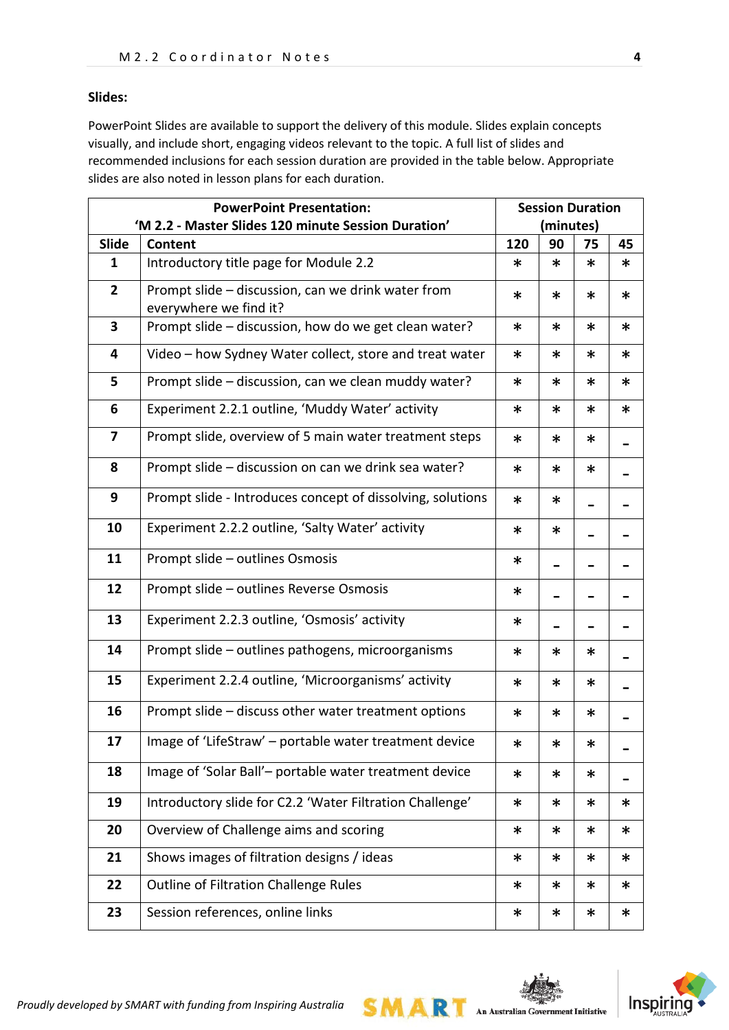#### **Slides:**

PowerPoint Slides are available to support the delivery of this module. Slides explain concepts visually, and include short, engaging videos relevant to the topic. A full list of slides and recommended inclusions for each session duration are provided in the table below. Appropriate slides are also noted in lesson plans for each duration.

| <b>PowerPoint Presentation:</b> |                                                            |        | <b>Session Duration</b> |        |        |
|---------------------------------|------------------------------------------------------------|--------|-------------------------|--------|--------|
|                                 | 'M 2.2 - Master Slides 120 minute Session Duration'        |        | (minutes)               |        |        |
| Slide                           | Content                                                    | 120    | 90                      | 75     | 45     |
| 1                               | Introductory title page for Module 2.2                     | ∗      | $\ast$                  | ∗      | ∗      |
| $\overline{2}$                  | Prompt slide - discussion, can we drink water from         | $\ast$ | $\ast$                  | $\ast$ | $\ast$ |
|                                 | everywhere we find it?                                     |        |                         |        |        |
| 3                               | Prompt slide - discussion, how do we get clean water?      | $\ast$ | $\ast$                  | $\ast$ | $\ast$ |
| 4                               | Video - how Sydney Water collect, store and treat water    | ∗      | ∗                       | $\ast$ | ∗      |
| 5                               | Prompt slide - discussion, can we clean muddy water?       | ∗      | $\ast$                  | ∗      | ∗      |
| 6                               | Experiment 2.2.1 outline, 'Muddy Water' activity           | ∗      | $\ast$                  | ∗      | ∗      |
| $\overline{\mathbf{z}}$         | Prompt slide, overview of 5 main water treatment steps     | $\ast$ | $\ast$                  | $\ast$ |        |
| 8                               | Prompt slide - discussion on can we drink sea water?       | $\ast$ | $\ast$                  | $\ast$ |        |
| 9                               | Prompt slide - Introduces concept of dissolving, solutions | $\ast$ | ∗                       |        |        |
| 10                              | Experiment 2.2.2 outline, 'Salty Water' activity           | $\ast$ | *                       |        |        |
| 11                              | Prompt slide - outlines Osmosis                            | $\ast$ |                         |        |        |
| 12                              | Prompt slide - outlines Reverse Osmosis                    | $\ast$ |                         |        |        |
| 13                              | Experiment 2.2.3 outline, 'Osmosis' activity               | $\ast$ |                         |        |        |
| 14                              | Prompt slide - outlines pathogens, microorganisms          | *      | ∗                       | *      |        |
| 15                              | Experiment 2.2.4 outline, 'Microorganisms' activity        | $\ast$ | $\ast$                  | $\ast$ |        |
| 16                              | Prompt slide - discuss other water treatment options       | *      | $\ast$                  | *      |        |
| 17                              | Image of 'LifeStraw' - portable water treatment device     | $\ast$ | ∗                       | ∗      |        |
| 18                              | Image of 'Solar Ball'- portable water treatment device     | $\ast$ | $\ast$                  | $\ast$ |        |
| 19                              | Introductory slide for C2.2 'Water Filtration Challenge'   | $\ast$ | $\ast$                  | $\ast$ | ∗      |
| 20                              | Overview of Challenge aims and scoring                     | ∗      | ∗                       | *      | $\ast$ |
| 21                              | Shows images of filtration designs / ideas                 | $\ast$ | $\ast$                  | *      | ∗      |
| 22                              | Outline of Filtration Challenge Rules                      | ∗      | ∗                       | *      | ∗      |
| 23                              | Session references, online links                           | ∗      | $\ast$                  | *      | $\ast$ |

**SMART** 

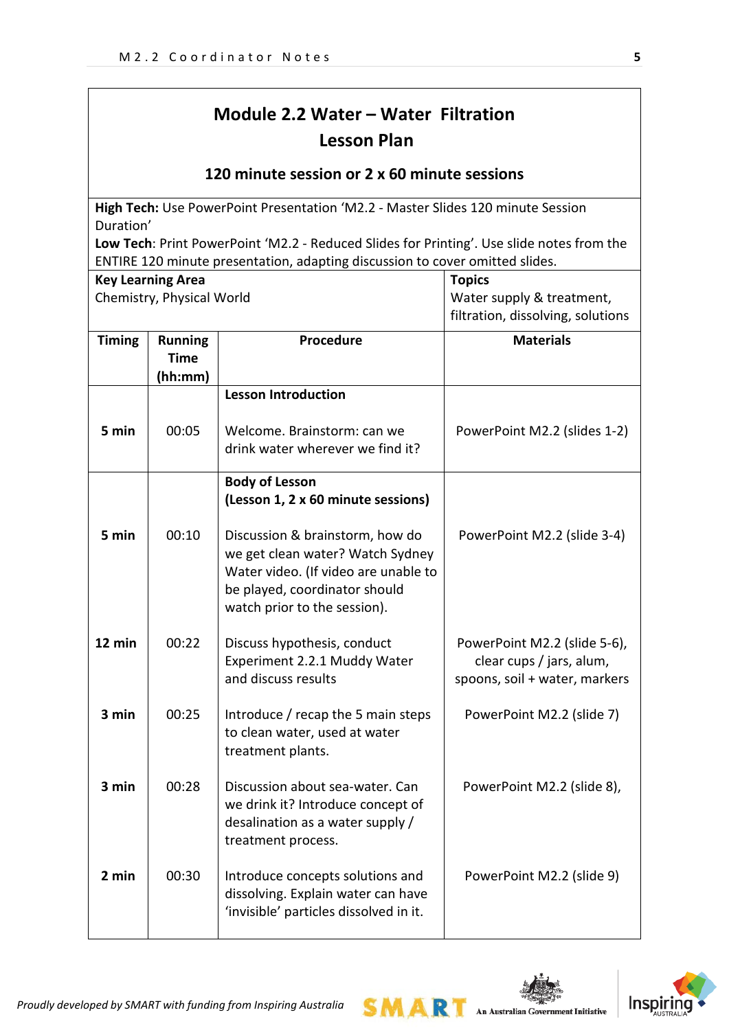# **Module 2.2 Water – Water Filtration Lesson Plan**

# **120 minute session or 2 x 60 minute sessions**

**High Tech:** Use PowerPoint Presentation 'M2.2 - Master Slides 120 minute Session Duration'

**Low Tech**: Print PowerPoint 'M2.2 - Reduced Slides for Printing'. Use slide notes from the ENTIRE 120 minute presentation, adapting discussion to cover omitted slides.

|               | <b>Key Learning Area</b>                 |                                                                                                                                                                              | <b>Topics</b>                                                                             |
|---------------|------------------------------------------|------------------------------------------------------------------------------------------------------------------------------------------------------------------------------|-------------------------------------------------------------------------------------------|
|               | Chemistry, Physical World                |                                                                                                                                                                              | Water supply & treatment,                                                                 |
|               |                                          |                                                                                                                                                                              | filtration, dissolving, solutions                                                         |
| <b>Timing</b> | <b>Running</b><br><b>Time</b><br>(hh:mm) | Procedure                                                                                                                                                                    | <b>Materials</b>                                                                          |
|               |                                          | <b>Lesson Introduction</b>                                                                                                                                                   |                                                                                           |
| 5 min         | 00:05                                    | Welcome. Brainstorm: can we<br>drink water wherever we find it?                                                                                                              | PowerPoint M2.2 (slides 1-2)                                                              |
|               |                                          | <b>Body of Lesson</b>                                                                                                                                                        |                                                                                           |
|               |                                          | (Lesson 1, 2 x 60 minute sessions)                                                                                                                                           |                                                                                           |
| 5 min         | 00:10                                    | Discussion & brainstorm, how do<br>we get clean water? Watch Sydney<br>Water video. (If video are unable to<br>be played, coordinator should<br>watch prior to the session). | PowerPoint M2.2 (slide 3-4)                                                               |
| 12 min        | 00:22                                    | Discuss hypothesis, conduct<br>Experiment 2.2.1 Muddy Water<br>and discuss results                                                                                           | PowerPoint M2.2 (slide 5-6),<br>clear cups / jars, alum,<br>spoons, soil + water, markers |
| 3 min         | 00:25                                    | Introduce / recap the 5 main steps<br>to clean water, used at water<br>treatment plants.                                                                                     | PowerPoint M2.2 (slide 7)                                                                 |
| 3 min         | 00:28                                    | Discussion about sea-water. Can<br>we drink it? Introduce concept of<br>desalination as a water supply /<br>treatment process.                                               | PowerPoint M2.2 (slide 8),                                                                |
| 2 min         | 00:30                                    | Introduce concepts solutions and<br>dissolving. Explain water can have<br>'invisible' particles dissolved in it.                                                             | PowerPoint M2.2 (slide 9)                                                                 |



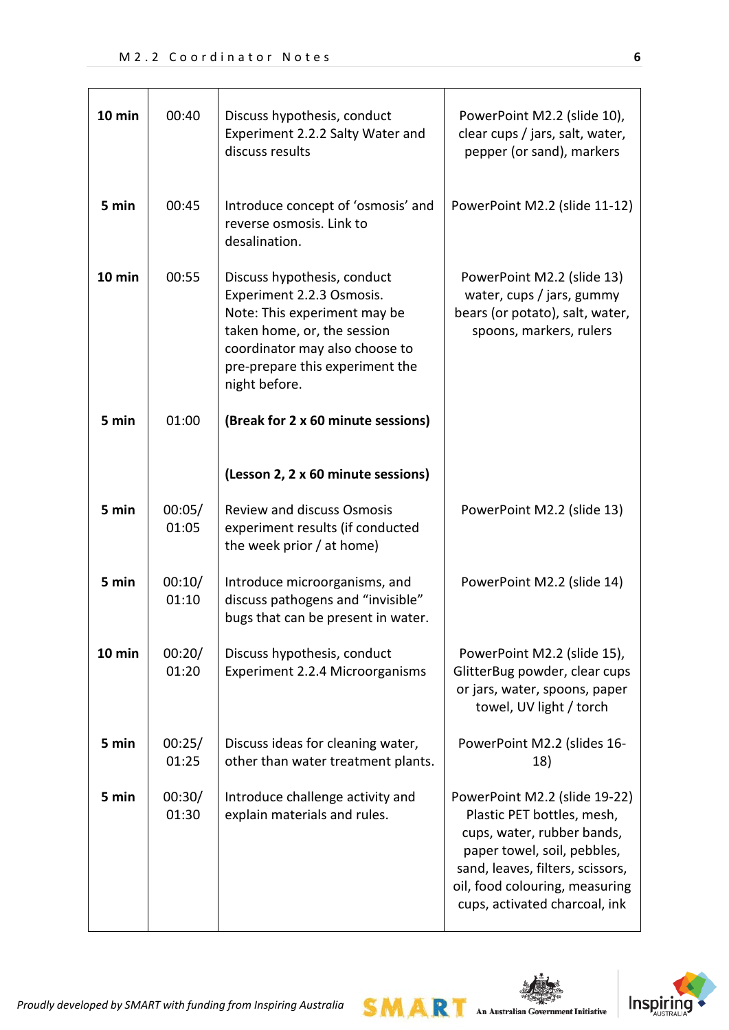| 10 min | 00:40           | Discuss hypothesis, conduct<br>Experiment 2.2.2 Salty Water and<br>discuss results                                                                                                                            | PowerPoint M2.2 (slide 10),<br>clear cups / jars, salt, water,<br>pepper (or sand), markers                                                                                                                                     |
|--------|-----------------|---------------------------------------------------------------------------------------------------------------------------------------------------------------------------------------------------------------|---------------------------------------------------------------------------------------------------------------------------------------------------------------------------------------------------------------------------------|
| 5 min  | 00:45           | Introduce concept of 'osmosis' and<br>reverse osmosis. Link to<br>desalination.                                                                                                                               | PowerPoint M2.2 (slide 11-12)                                                                                                                                                                                                   |
| 10 min | 00:55           | Discuss hypothesis, conduct<br>Experiment 2.2.3 Osmosis.<br>Note: This experiment may be<br>taken home, or, the session<br>coordinator may also choose to<br>pre-prepare this experiment the<br>night before. | PowerPoint M2.2 (slide 13)<br>water, cups / jars, gummy<br>bears (or potato), salt, water,<br>spoons, markers, rulers                                                                                                           |
| 5 min  | 01:00           | (Break for 2 x 60 minute sessions)                                                                                                                                                                            |                                                                                                                                                                                                                                 |
|        |                 | (Lesson 2, 2 x 60 minute sessions)                                                                                                                                                                            |                                                                                                                                                                                                                                 |
| 5 min  | 00:05/<br>01:05 | <b>Review and discuss Osmosis</b><br>experiment results (if conducted<br>the week prior / at home)                                                                                                            | PowerPoint M2.2 (slide 13)                                                                                                                                                                                                      |
| 5 min  | 00:10/<br>01:10 | Introduce microorganisms, and<br>discuss pathogens and "invisible"<br>bugs that can be present in water.                                                                                                      | PowerPoint M2.2 (slide 14)                                                                                                                                                                                                      |
| 10 min | 00:20/<br>01:20 | Discuss hypothesis, conduct<br>Experiment 2.2.4 Microorganisms                                                                                                                                                | PowerPoint M2.2 (slide 15),<br>GlitterBug powder, clear cups<br>or jars, water, spoons, paper<br>towel, UV light / torch                                                                                                        |
| 5 min  | 00:25/<br>01:25 | Discuss ideas for cleaning water,<br>other than water treatment plants.                                                                                                                                       | PowerPoint M2.2 (slides 16-<br>18)                                                                                                                                                                                              |
| 5 min  | 00:30/<br>01:30 | Introduce challenge activity and<br>explain materials and rules.                                                                                                                                              | PowerPoint M2.2 (slide 19-22)<br>Plastic PET bottles, mesh,<br>cups, water, rubber bands,<br>paper towel, soil, pebbles,<br>sand, leaves, filters, scissors,<br>oil, food colouring, measuring<br>cups, activated charcoal, ink |



**SMART**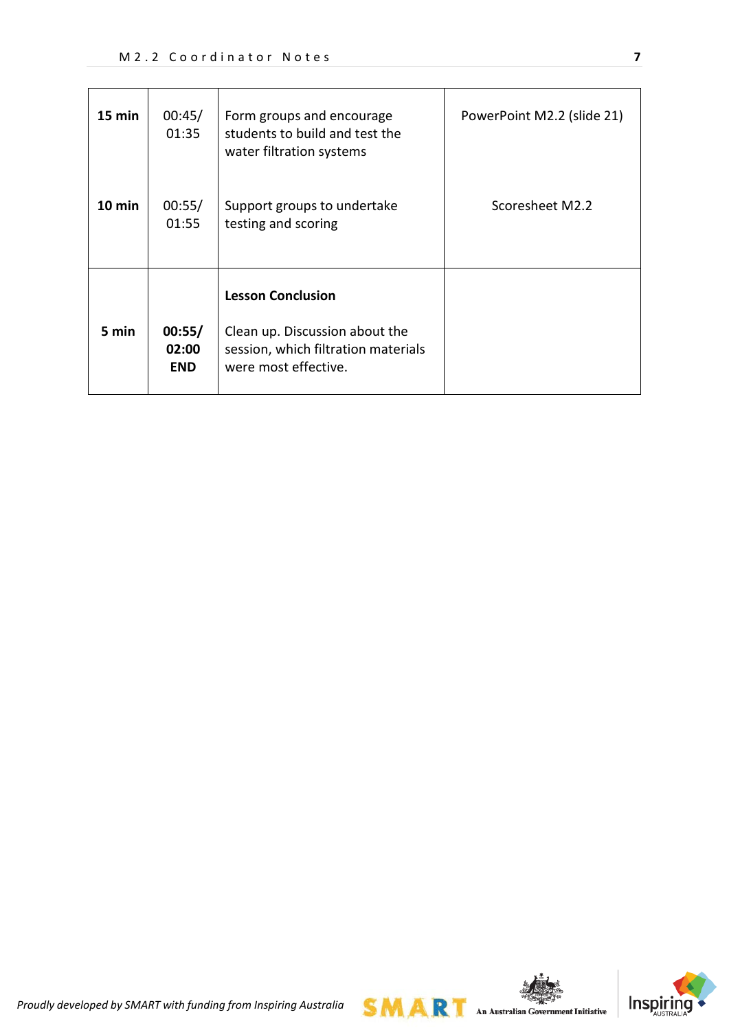| 15 min | 00:45/<br>01:35               | Form groups and encourage<br>students to build and test the<br>water filtration systems                                   | PowerPoint M2.2 (slide 21) |
|--------|-------------------------------|---------------------------------------------------------------------------------------------------------------------------|----------------------------|
| 10 min | 00:55/<br>01:55               | Support groups to undertake<br>testing and scoring                                                                        | Scoresheet M2.2            |
| 5 min  | 00:55/<br>02:00<br><b>END</b> | <b>Lesson Conclusion</b><br>Clean up. Discussion about the<br>session, which filtration materials<br>were most effective. |                            |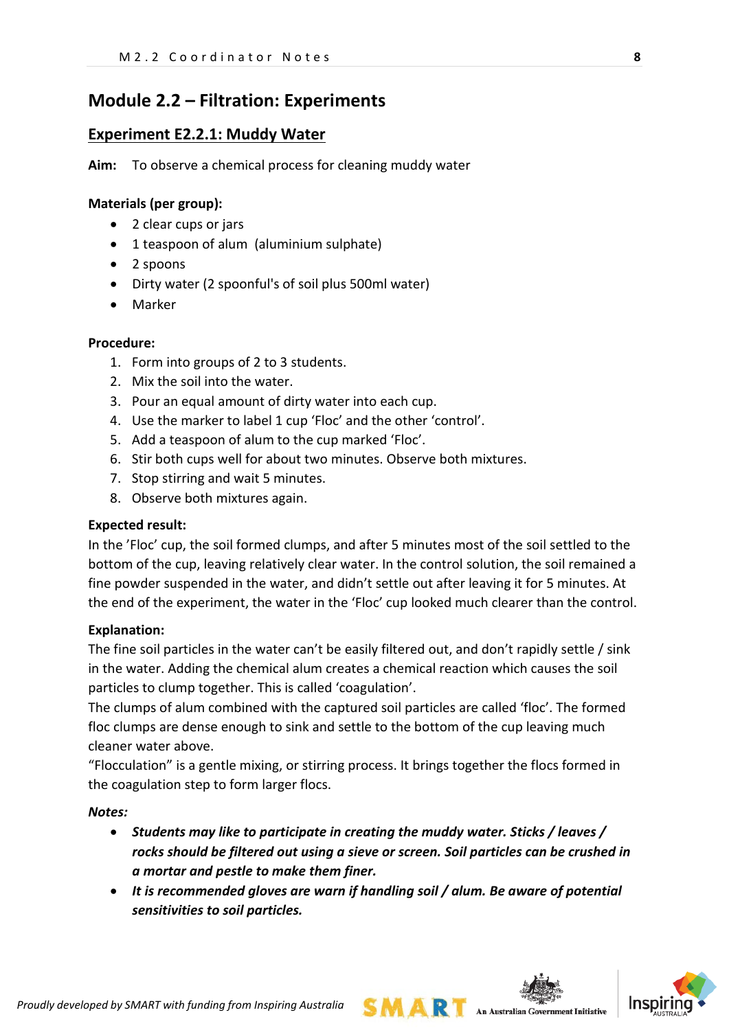# **Module 2.2 – Filtration: Experiments**

## **Experiment E2.2.1: Muddy Water**

**Aim:** To observe a chemical process for cleaning muddy water

### **Materials (per group):**

- 2 clear cups or jars
- 1 teaspoon of alum (aluminium sulphate)
- 2 spoons
- Dirty water (2 spoonful's of soil plus 500ml water)
- Marker

### **Procedure:**

- 1. Form into groups of 2 to 3 students.
- 2. Mix the soil into the water.
- 3. Pour an equal amount of dirty water into each cup.
- 4. Use the marker to label 1 cup 'Floc' and the other 'control'.
- 5. Add a teaspoon of alum to the cup marked 'Floc'.
- 6. Stir both cups well for about two minutes. Observe both mixtures.
- 7. Stop stirring and wait 5 minutes.
- 8. Observe both mixtures again.

#### **Expected result:**

In the 'Floc' cup, the soil formed clumps, and after 5 minutes most of the soil settled to the bottom of the cup, leaving relatively clear water. In the control solution, the soil remained a fine powder suspended in the water, and didn't settle out after leaving it for 5 minutes. At the end of the experiment, the water in the 'Floc' cup looked much clearer than the control.

#### **Explanation:**

The fine soil particles in the water can't be easily filtered out, and don't rapidly settle / sink in the water. Adding the chemical alum creates a chemical reaction which causes the soil particles to clump together. This is called 'coagulation'.

The clumps of alum combined with the captured soil particles are called 'floc'. The formed floc clumps are dense enough to sink and settle to the bottom of the cup leaving much cleaner water above.

"Flocculation" is a gentle mixing, or stirring process. It brings together the flocs formed in the coagulation step to form larger flocs.

#### *Notes:*

- *Students may like to participate in creating the muddy water. Sticks / leaves / rocks should be filtered out using a sieve or screen. Soil particles can be crushed in a mortar and pestle to make them finer.*
- *It is recommended gloves are warn if handling soil / alum. Be aware of potential sensitivities to soil particles.*

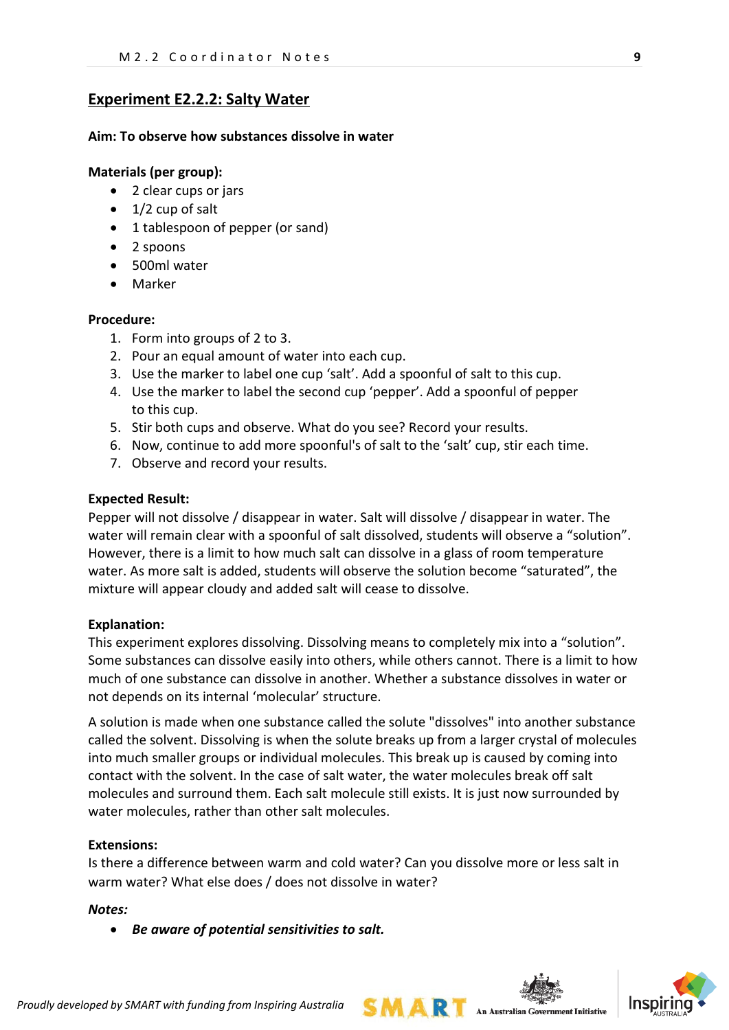## **Experiment E2.2.2: Salty Water**

#### **Aim: To observe how substances dissolve in water**

#### **Materials (per group):**

- 2 clear cups or jars
- 1/2 cup of salt
- 1 tablespoon of pepper (or sand)
- 2 spoons
- 500ml water
- Marker

#### **Procedure:**

- 1. Form into groups of 2 to 3.
- 2. Pour an equal amount of water into each cup.
- 3. Use the marker to label one cup 'salt'. Add a spoonful of salt to this cup.
- 4. Use the marker to label the second cup 'pepper'. Add a spoonful of pepper to this cup.
- 5. Stir both cups and observe. What do you see? Record your results.
- 6. Now, continue to add more spoonful's of salt to the 'salt' cup, stir each time.
- 7. Observe and record your results.

#### **Expected Result:**

Pepper will not dissolve / disappear in water. Salt will dissolve / disappear in water. The water will remain clear with a spoonful of salt dissolved, students will observe a "solution". However, there is a limit to how much salt can dissolve in a glass of room temperature water. As more salt is added, students will observe the solution become "saturated", the mixture will appear cloudy and added salt will cease to dissolve.

#### **Explanation:**

This experiment explores dissolving. Dissolving means to completely mix into a "solution". Some substances can dissolve easily into others, while others cannot. There is a limit to how much of one substance can dissolve in another. Whether a substance dissolves in water or not depends on its internal 'molecular' structure.

A solution is made when one substance called the solute "dissolves" into another substance called the solvent. Dissolving is when the solute breaks up from a larger crystal of molecules into much smaller groups or individual molecules. This break up is caused by coming into contact with the solvent. In the case of salt water, the water molecules break off salt molecules and surround them. Each salt molecule still exists. It is just now surrounded by water molecules, rather than other salt molecules.

#### **Extensions:**

Is there a difference between warm and cold water? Can you dissolve more or less salt in warm water? What else does / does not dissolve in water?

#### *Notes:*

• *Be aware of potential sensitivities to salt.*



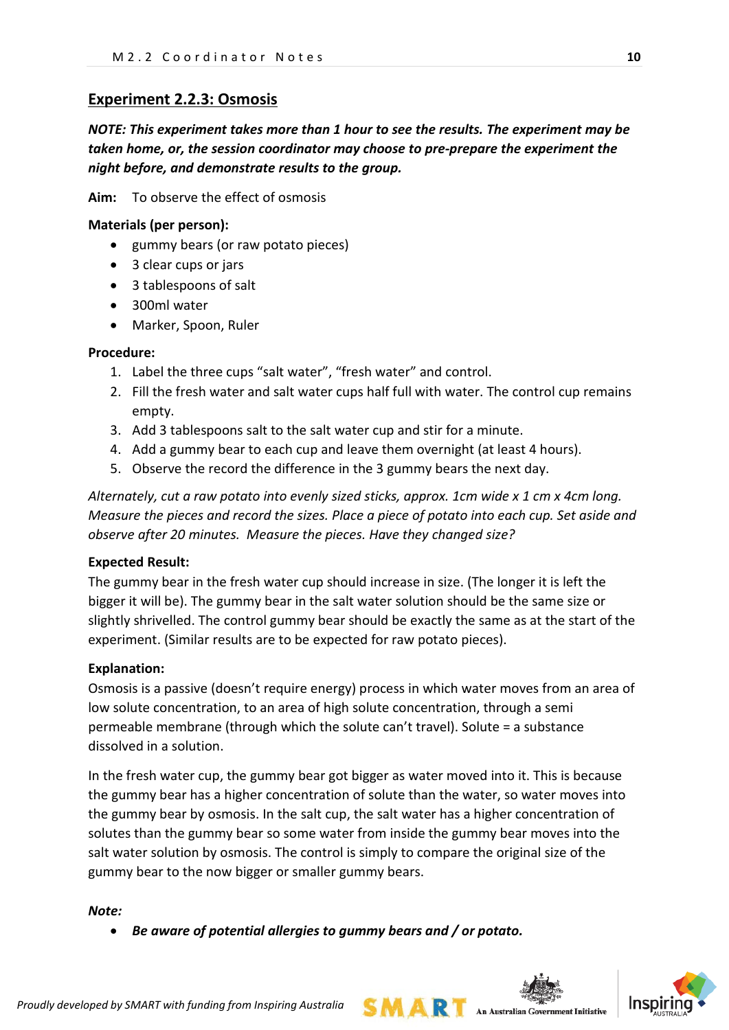# **Experiment 2.2.3: Osmosis**

*NOTE: This experiment takes more than 1 hour to see the results. The experiment may be taken home, or, the session coordinator may choose to pre-prepare the experiment the night before, and demonstrate results to the group.*

**Aim:** To observe the effect of osmosis

#### **Materials (per person):**

- gummy bears (or raw potato pieces)
- 3 clear cups or jars
- 3 tablespoons of salt
- 300ml water
- Marker, Spoon, Ruler

#### **Procedure:**

- 1. Label the three cups "salt water", "fresh water" and control.
- 2. Fill the fresh water and salt water cups half full with water. The control cup remains empty.
- 3. Add 3 tablespoons salt to the salt water cup and stir for a minute.
- 4. Add a gummy bear to each cup and leave them overnight (at least 4 hours).
- 5. Observe the record the difference in the 3 gummy bears the next day.

*Alternately, cut a raw potato into evenly sized sticks, approx. 1cm wide x 1 cm x 4cm long. Measure the pieces and record the sizes. Place a piece of potato into each cup. Set aside and observe after 20 minutes. Measure the pieces. Have they changed size?*

#### **Expected Result:**

The gummy bear in the fresh water cup should increase in size. (The longer it is left the bigger it will be). The gummy bear in the salt water solution should be the same size or slightly shrivelled. The control gummy bear should be exactly the same as at the start of the experiment. (Similar results are to be expected for raw potato pieces).

#### **Explanation:**

Osmosis is a passive (doesn't require energy) process in which water moves from an area of low solute concentration, to an area of high solute concentration, through a semi permeable membrane (through which the solute can't travel). Solute = a substance dissolved in a solution.

In the fresh water cup, the gummy bear got bigger as water moved into it. This is because the gummy bear has a higher concentration of solute than the water, so water moves into the gummy bear by osmosis. In the salt cup, the salt water has a higher concentration of solutes than the gummy bear so some water from inside the gummy bear moves into the salt water solution by osmosis. The control is simply to compare the original size of the gummy bear to the now bigger or smaller gummy bears.

#### *Note:*

• *Be aware of potential allergies to gummy bears and / or potato.*



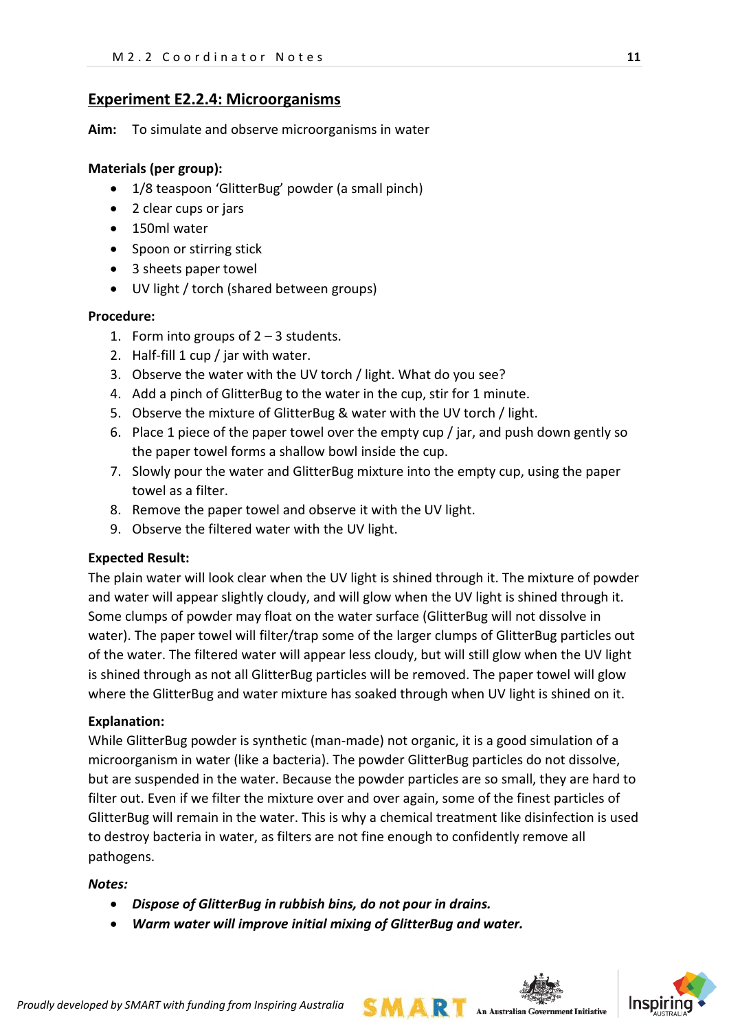## **Experiment E2.2.4: Microorganisms**

**Aim:** To simulate and observe microorganisms in water

#### **Materials (per group):**

- 1/8 teaspoon 'GlitterBug' powder (a small pinch)
- 2 clear cups or jars
- 150ml water
- Spoon or stirring stick
- 3 sheets paper towel
- UV light / torch (shared between groups)

#### **Procedure:**

- 1. Form into groups of  $2 3$  students.
- 2. Half-fill 1 cup / jar with water.
- 3. Observe the water with the UV torch / light. What do you see?
- 4. Add a pinch of GlitterBug to the water in the cup, stir for 1 minute.
- 5. Observe the mixture of GlitterBug & water with the UV torch / light.
- 6. Place 1 piece of the paper towel over the empty cup / jar, and push down gently so the paper towel forms a shallow bowl inside the cup.
- 7. Slowly pour the water and GlitterBug mixture into the empty cup, using the paper towel as a filter.
- 8. Remove the paper towel and observe it with the UV light.
- 9. Observe the filtered water with the UV light.

#### **Expected Result:**

The plain water will look clear when the UV light is shined through it. The mixture of powder and water will appear slightly cloudy, and will glow when the UV light is shined through it. Some clumps of powder may float on the water surface (GlitterBug will not dissolve in water). The paper towel will filter/trap some of the larger clumps of GlitterBug particles out of the water. The filtered water will appear less cloudy, but will still glow when the UV light is shined through as not all GlitterBug particles will be removed. The paper towel will glow where the GlitterBug and water mixture has soaked through when UV light is shined on it.

#### **Explanation:**

While GlitterBug powder is synthetic (man-made) not organic, it is a good simulation of a microorganism in water (like a bacteria). The powder GlitterBug particles do not dissolve, but are suspended in the water. Because the powder particles are so small, they are hard to filter out. Even if we filter the mixture over and over again, some of the finest particles of GlitterBug will remain in the water. This is why a chemical treatment like disinfection is used to destroy bacteria in water, as filters are not fine enough to confidently remove all pathogens.

#### *Notes:*

- *Dispose of GlitterBug in rubbish bins, do not pour in drains.*
- *Warm water will improve initial mixing of GlitterBug and water.*

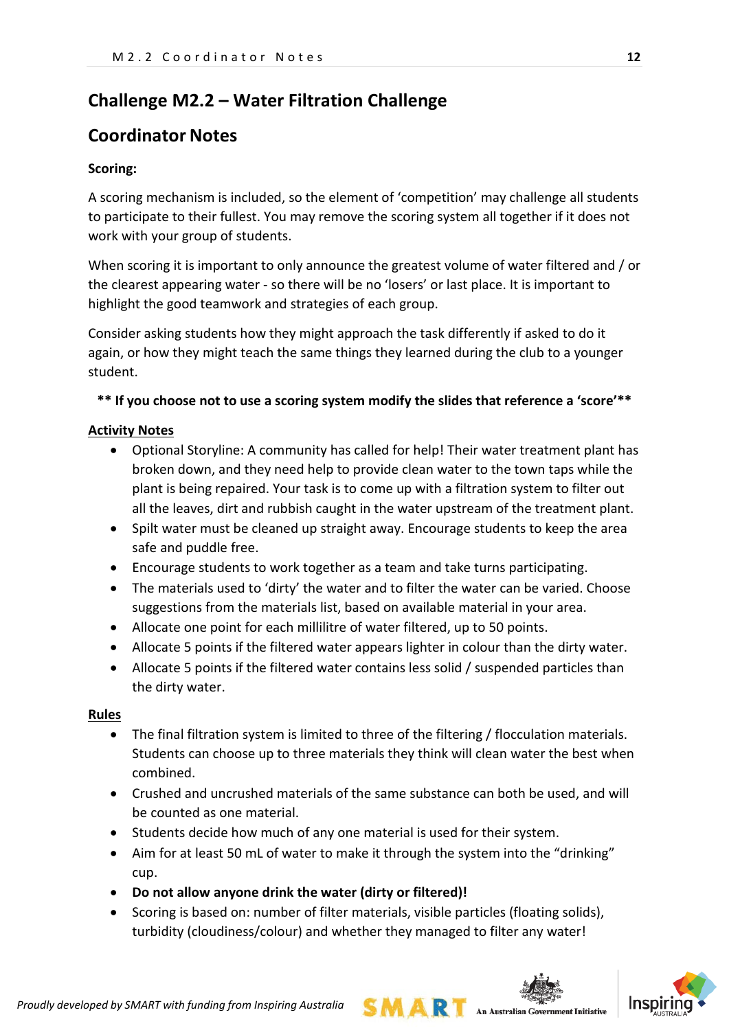# **Challenge M2.2 – Water Filtration Challenge**

# **Coordinator Notes**

### **Scoring:**

A scoring mechanism is included, so the element of 'competition' may challenge all students to participate to their fullest. You may remove the scoring system all together if it does not work with your group of students.

When scoring it is important to only announce the greatest volume of water filtered and / or the clearest appearing water - so there will be no 'losers' or last place. It is important to highlight the good teamwork and strategies of each group.

Consider asking students how they might approach the task differently if asked to do it again, or how they might teach the same things they learned during the club to a younger student.

### **\*\* If you choose not to use a scoring system modify the slides that reference a 'score'\*\***

#### **Activity Notes**

- Optional Storyline: A community has called for help! Their water treatment plant has broken down, and they need help to provide clean water to the town taps while the plant is being repaired. Your task is to come up with a filtration system to filter out all the leaves, dirt and rubbish caught in the water upstream of the treatment plant.
- Spilt water must be cleaned up straight away. Encourage students to keep the area safe and puddle free.
- Encourage students to work together as a team and take turns participating.
- The materials used to 'dirty' the water and to filter the water can be varied. Choose suggestions from the materials list, based on available material in your area.
- Allocate one point for each millilitre of water filtered, up to 50 points.
- Allocate 5 points if the filtered water appears lighter in colour than the dirty water.
- Allocate 5 points if the filtered water contains less solid / suspended particles than the dirty water.

#### **Rules**

- The final filtration system is limited to three of the filtering / flocculation materials. Students can choose up to three materials they think will clean water the best when combined.
- Crushed and uncrushed materials of the same substance can both be used, and will be counted as one material.
- Students decide how much of any one material is used for their system.
- Aim for at least 50 mL of water to make it through the system into the "drinking" cup.
- **Do not allow anyone drink the water (dirty or filtered)!**
- Scoring is based on: number of filter materials, visible particles (floating solids), turbidity (cloudiness/colour) and whether they managed to filter any water!



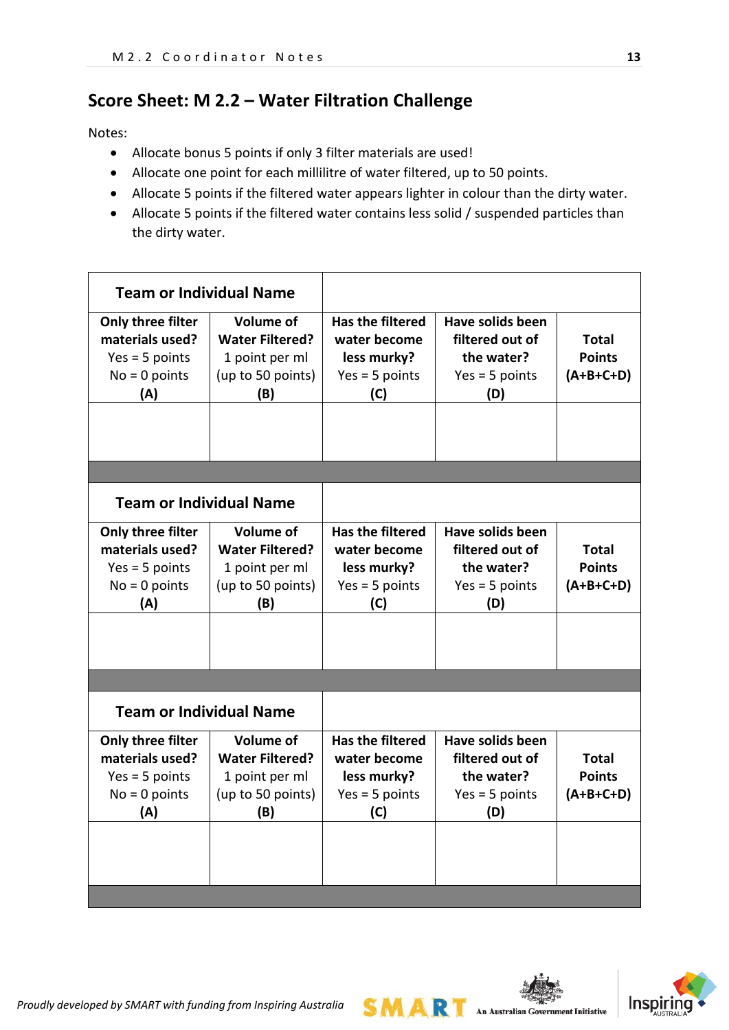# **Score Sheet: M 2.2 – Water Filtration Challenge**

Notes:

- Allocate bonus 5 points if only 3 filter materials are used!
- Allocate one point for each millilitre of water filtered, up to 50 points.
- Allocate 5 points if the filtered water appears lighter in colour than the dirty water.
- Allocate 5 points if the filtered water contains less solid / suspended particles than the dirty water.

| <b>Team or Individual Name</b>                                                     |                                                                                          |                                                                                   |                                                                                     |                                              |
|------------------------------------------------------------------------------------|------------------------------------------------------------------------------------------|-----------------------------------------------------------------------------------|-------------------------------------------------------------------------------------|----------------------------------------------|
| Only three filter<br>materials used?<br>$Yes = 5 points$<br>$No = 0$ points<br>(A) | <b>Volume of</b><br><b>Water Filtered?</b><br>1 point per ml<br>(up to 50 points)<br>(B) | <b>Has the filtered</b><br>water become<br>less murky?<br>$Yes = 5 points$<br>(C) | <b>Have solids been</b><br>filtered out of<br>the water?<br>$Yes = 5 points$<br>(D) | <b>Total</b><br><b>Points</b><br>$(A+B+C+D)$ |
|                                                                                    |                                                                                          |                                                                                   |                                                                                     |                                              |
| <b>Team or Individual Name</b>                                                     |                                                                                          |                                                                                   |                                                                                     |                                              |
| Only three filter<br>materials used?<br>$Yes = 5 points$<br>$No = 0$ points<br>(A) | <b>Volume of</b><br><b>Water Filtered?</b><br>1 point per ml<br>(up to 50 points)<br>(B) | <b>Has the filtered</b><br>water become<br>less murky?<br>$Yes = 5 points$<br>(C) | Have solids been<br>filtered out of<br>the water?<br>$Yes = 5 points$<br>(D)        | Total<br><b>Points</b><br>$(A+B+C+D)$        |
|                                                                                    |                                                                                          |                                                                                   |                                                                                     |                                              |
| <b>Team or Individual Name</b>                                                     |                                                                                          |                                                                                   |                                                                                     |                                              |
| Only three filter<br>materials used?<br>$Yes = 5 points$<br>$No = 0$ points<br>(A) | <b>Volume of</b><br><b>Water Filtered?</b><br>1 point per ml<br>(up to 50 points)<br>(B) | <b>Has the filtered</b><br>water become<br>less murky?<br>$Yes = 5 points$<br>(C) | <b>Have solids been</b><br>filtered out of<br>the water?<br>$Yes = 5 points$<br>(D) | <b>Total</b><br><b>Points</b><br>$(A+B+C+D)$ |
|                                                                                    |                                                                                          |                                                                                   |                                                                                     |                                              |

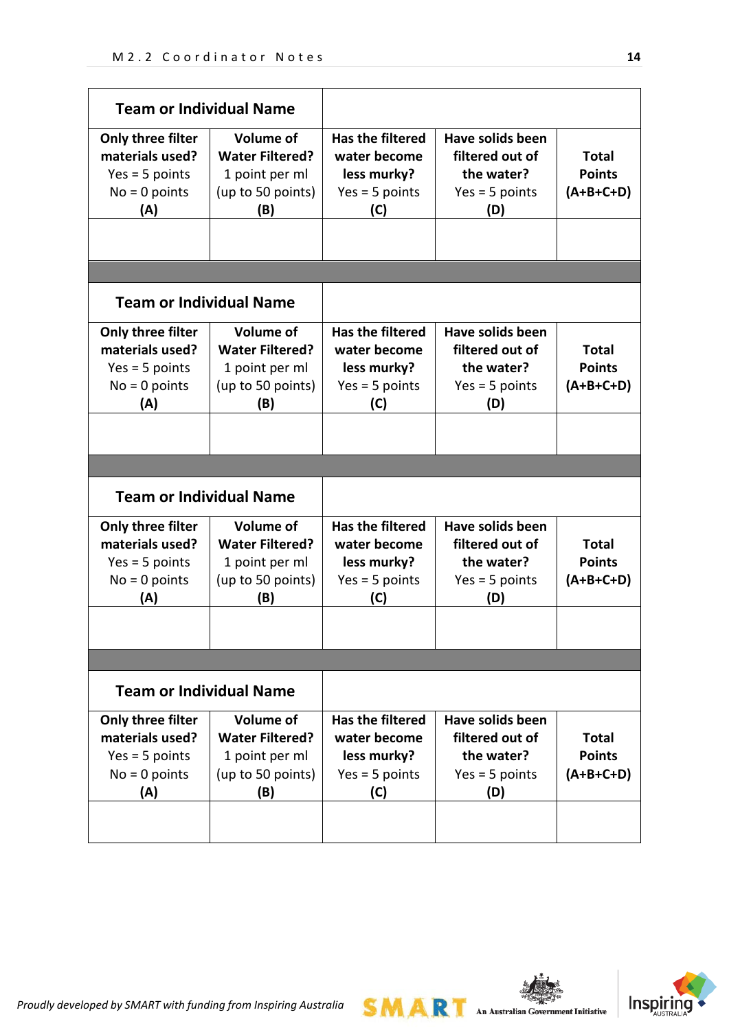| <b>Team or Individual Name</b>                                                     |                                                                                          |                                                                                   |                                                                                     |                                              |
|------------------------------------------------------------------------------------|------------------------------------------------------------------------------------------|-----------------------------------------------------------------------------------|-------------------------------------------------------------------------------------|----------------------------------------------|
| Only three filter<br>materials used?<br>$Yes = 5 points$<br>$No = 0$ points<br>(A) | <b>Volume of</b><br><b>Water Filtered?</b><br>1 point per ml<br>(up to 50 points)<br>(B) | <b>Has the filtered</b><br>water become<br>less murky?<br>$Yes = 5 points$<br>(C) | <b>Have solids been</b><br>filtered out of<br>the water?<br>$Yes = 5 points$<br>(D) | <b>Total</b><br><b>Points</b><br>$(A+B+C+D)$ |
|                                                                                    |                                                                                          |                                                                                   |                                                                                     |                                              |
|                                                                                    |                                                                                          |                                                                                   |                                                                                     |                                              |
| <b>Team or Individual Name</b>                                                     |                                                                                          |                                                                                   |                                                                                     |                                              |
| Only three filter<br>materials used?<br>$Yes = 5 points$<br>$No = 0$ points<br>(A) | <b>Volume of</b><br><b>Water Filtered?</b><br>1 point per ml<br>(up to 50 points)<br>(B) | <b>Has the filtered</b><br>water become<br>less murky?<br>$Yes = 5 points$<br>(C) | Have solids been<br>filtered out of<br>the water?<br>$Yes = 5 points$<br>(D)        | Total<br><b>Points</b><br>$(A+B+C+D)$        |
|                                                                                    |                                                                                          |                                                                                   |                                                                                     |                                              |
| <b>Team or Individual Name</b>                                                     |                                                                                          |                                                                                   |                                                                                     |                                              |
| Only three filter<br>materials used?<br>$Yes = 5 points$<br>$No = 0$ points<br>(A) | <b>Volume of</b><br><b>Water Filtered?</b><br>1 point per ml<br>(up to 50 points)<br>(B) | <b>Has the filtered</b><br>water become<br>less murky?<br>$Yes = 5 points$<br>(C) | Have solids been<br>filtered out of<br>the water?<br>$Yes = 5 points$<br>(D)        | <b>Total</b><br><b>Points</b><br>(A+B+C+D)   |
|                                                                                    |                                                                                          |                                                                                   |                                                                                     |                                              |
|                                                                                    |                                                                                          |                                                                                   |                                                                                     |                                              |
| <b>Team or Individual Name</b>                                                     |                                                                                          |                                                                                   |                                                                                     |                                              |

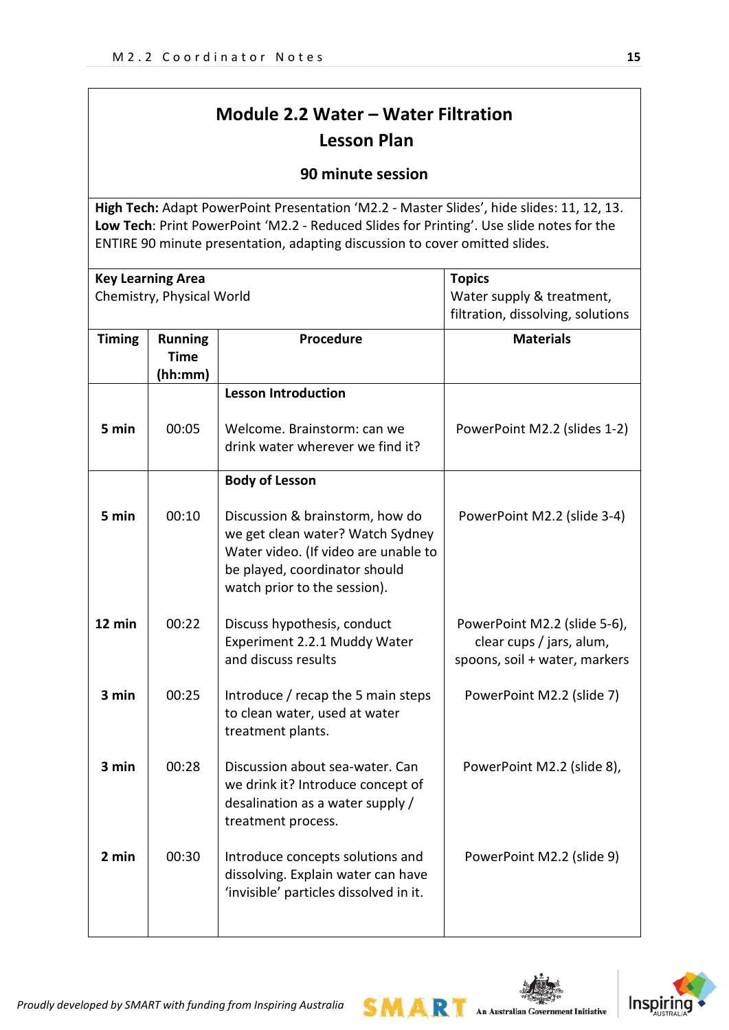# **Module 2.2 Water – Water Filtration Lesson Plan**

## **90 minute session**

**High Tech:** Adapt PowerPoint Presentation 'M2.2 - Master Slides', hide slides: 11, 12, 13. **Low Tech**: Print PowerPoint 'M2.2 - Reduced Slides for Printing'. Use slide notes for the ENTIRE 90 minute presentation, adapting discussion to cover omitted slides.

|               | <b>Key Learning Area</b><br>Chemistry, Physical World |                                                                                                                                                                              | <b>Topics</b><br>Water supply & treatment,<br>filtration, dissolving, solutions           |
|---------------|-------------------------------------------------------|------------------------------------------------------------------------------------------------------------------------------------------------------------------------------|-------------------------------------------------------------------------------------------|
| <b>Timing</b> | <b>Running</b><br><b>Time</b><br>(hh:mm)              | Procedure                                                                                                                                                                    | <b>Materials</b>                                                                          |
|               |                                                       | <b>Lesson Introduction</b>                                                                                                                                                   |                                                                                           |
| 5 min         | 00:05                                                 | Welcome. Brainstorm: can we<br>drink water wherever we find it?                                                                                                              | PowerPoint M2.2 (slides 1-2)                                                              |
|               |                                                       | <b>Body of Lesson</b>                                                                                                                                                        |                                                                                           |
| 5 min         | 00:10                                                 | Discussion & brainstorm, how do<br>we get clean water? Watch Sydney<br>Water video. (If video are unable to<br>be played, coordinator should<br>watch prior to the session). | PowerPoint M2.2 (slide 3-4)                                                               |
| 12 min        | 00:22                                                 | Discuss hypothesis, conduct<br>Experiment 2.2.1 Muddy Water<br>and discuss results                                                                                           | PowerPoint M2.2 (slide 5-6),<br>clear cups / jars, alum,<br>spoons, soil + water, markers |
| 3 min         | 00:25                                                 | Introduce / recap the 5 main steps<br>to clean water, used at water<br>treatment plants.                                                                                     | PowerPoint M2.2 (slide 7)                                                                 |
| 3 min         | 00:28                                                 | Discussion about sea-water. Can<br>we drink it? Introduce concept of<br>desalination as a water supply /<br>treatment process.                                               | PowerPoint M2.2 (slide 8),                                                                |
| 2 min         | 00:30                                                 | Introduce concepts solutions and<br>dissolving. Explain water can have<br>'invisible' particles dissolved in it.                                                             | PowerPoint M2.2 (slide 9)                                                                 |

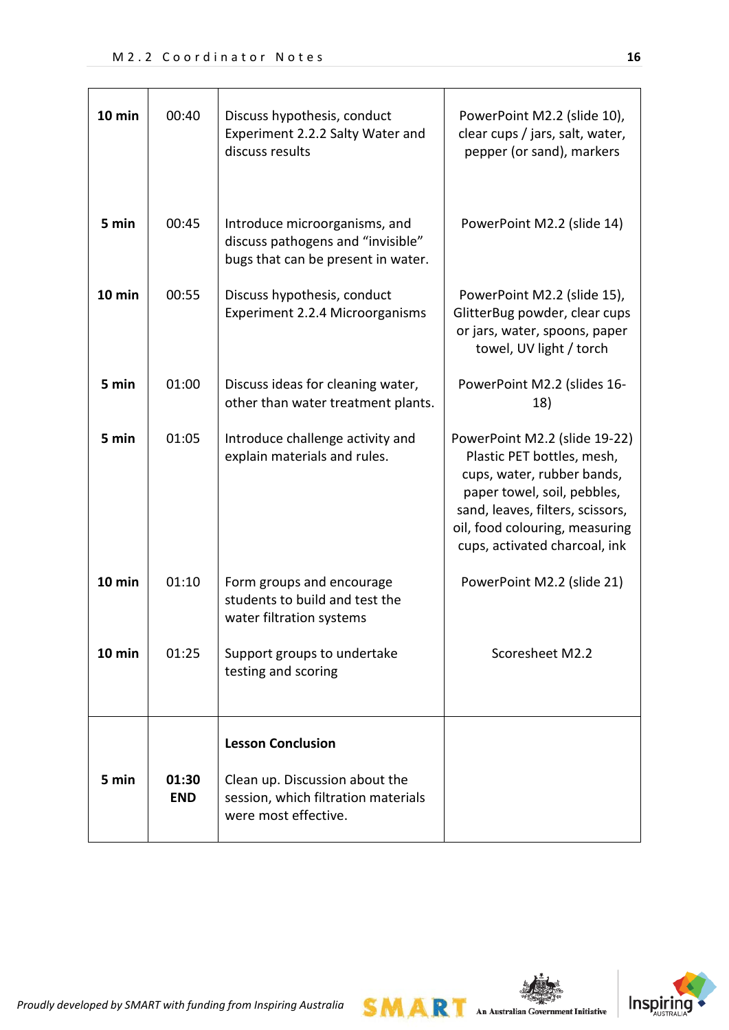| 10 min | 00:40               | Discuss hypothesis, conduct<br>Experiment 2.2.2 Salty Water and<br>discuss results                                        | PowerPoint M2.2 (slide 10),<br>clear cups / jars, salt, water,<br>pepper (or sand), markers                                                                                                                                     |
|--------|---------------------|---------------------------------------------------------------------------------------------------------------------------|---------------------------------------------------------------------------------------------------------------------------------------------------------------------------------------------------------------------------------|
| 5 min  | 00:45               | Introduce microorganisms, and<br>discuss pathogens and "invisible"<br>bugs that can be present in water.                  | PowerPoint M2.2 (slide 14)                                                                                                                                                                                                      |
| 10 min | 00:55               | Discuss hypothesis, conduct<br>Experiment 2.2.4 Microorganisms                                                            | PowerPoint M2.2 (slide 15),<br>GlitterBug powder, clear cups<br>or jars, water, spoons, paper<br>towel, UV light / torch                                                                                                        |
| 5 min  | 01:00               | Discuss ideas for cleaning water,<br>other than water treatment plants.                                                   | PowerPoint M2.2 (slides 16-<br>18)                                                                                                                                                                                              |
| 5 min  | 01:05               | Introduce challenge activity and<br>explain materials and rules.                                                          | PowerPoint M2.2 (slide 19-22)<br>Plastic PET bottles, mesh,<br>cups, water, rubber bands,<br>paper towel, soil, pebbles,<br>sand, leaves, filters, scissors,<br>oil, food colouring, measuring<br>cups, activated charcoal, ink |
| 10 min | 01:10               | Form groups and encourage<br>students to build and test the<br>water filtration systems                                   | PowerPoint M2.2 (slide 21)                                                                                                                                                                                                      |
| 10 min | 01:25               | Support groups to undertake<br>testing and scoring                                                                        | Scoresheet M2.2                                                                                                                                                                                                                 |
| 5 min  | 01:30<br><b>END</b> | <b>Lesson Conclusion</b><br>Clean up. Discussion about the<br>session, which filtration materials<br>were most effective. |                                                                                                                                                                                                                                 |

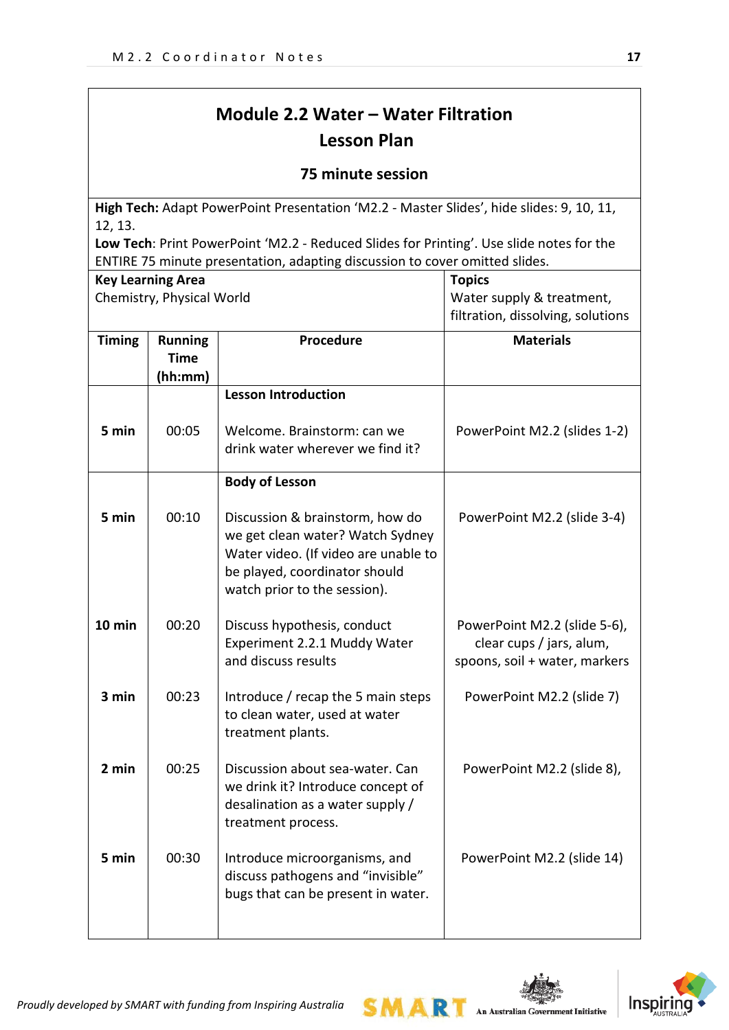# **Module 2.2 Water – Water Filtration Lesson Plan**

## **75 minute session**

**High Tech:** Adapt PowerPoint Presentation 'M2.2 - Master Slides', hide slides: 9, 10, 11, 12, 13.

**Low Tech**: Print PowerPoint 'M2.2 - Reduced Slides for Printing'. Use slide notes for the ENTIRE 75 minute presentation, adapting discussion to cover omitted slides.

|               | <b>Key Learning Area</b>                 |                                                                                                                                                                              | <b>Topics</b>                                                                             |
|---------------|------------------------------------------|------------------------------------------------------------------------------------------------------------------------------------------------------------------------------|-------------------------------------------------------------------------------------------|
|               | Chemistry, Physical World                |                                                                                                                                                                              | Water supply & treatment,                                                                 |
|               |                                          |                                                                                                                                                                              | filtration, dissolving, solutions                                                         |
| <b>Timing</b> | <b>Running</b><br><b>Time</b><br>(hh:mm) | Procedure                                                                                                                                                                    | <b>Materials</b>                                                                          |
|               |                                          | <b>Lesson Introduction</b>                                                                                                                                                   |                                                                                           |
| 5 min         | 00:05                                    | Welcome. Brainstorm: can we<br>drink water wherever we find it?                                                                                                              | PowerPoint M2.2 (slides 1-2)                                                              |
|               |                                          | <b>Body of Lesson</b>                                                                                                                                                        |                                                                                           |
| 5 min         | 00:10                                    | Discussion & brainstorm, how do<br>we get clean water? Watch Sydney<br>Water video. (If video are unable to<br>be played, coordinator should<br>watch prior to the session). | PowerPoint M2.2 (slide 3-4)                                                               |
| 10 min        | 00:20                                    | Discuss hypothesis, conduct<br>Experiment 2.2.1 Muddy Water<br>and discuss results                                                                                           | PowerPoint M2.2 (slide 5-6),<br>clear cups / jars, alum,<br>spoons, soil + water, markers |
| 3 min         | 00:23                                    | Introduce / recap the 5 main steps<br>to clean water, used at water<br>treatment plants.                                                                                     | PowerPoint M2.2 (slide 7)                                                                 |
| 2 min         | 00:25                                    | Discussion about sea-water. Can<br>we drink it? Introduce concept of<br>desalination as a water supply /<br>treatment process.                                               | PowerPoint M2.2 (slide 8),                                                                |
| 5 min         | 00:30                                    | Introduce microorganisms, and<br>discuss pathogens and "invisible"<br>bugs that can be present in water.                                                                     | PowerPoint M2.2 (slide 14)                                                                |

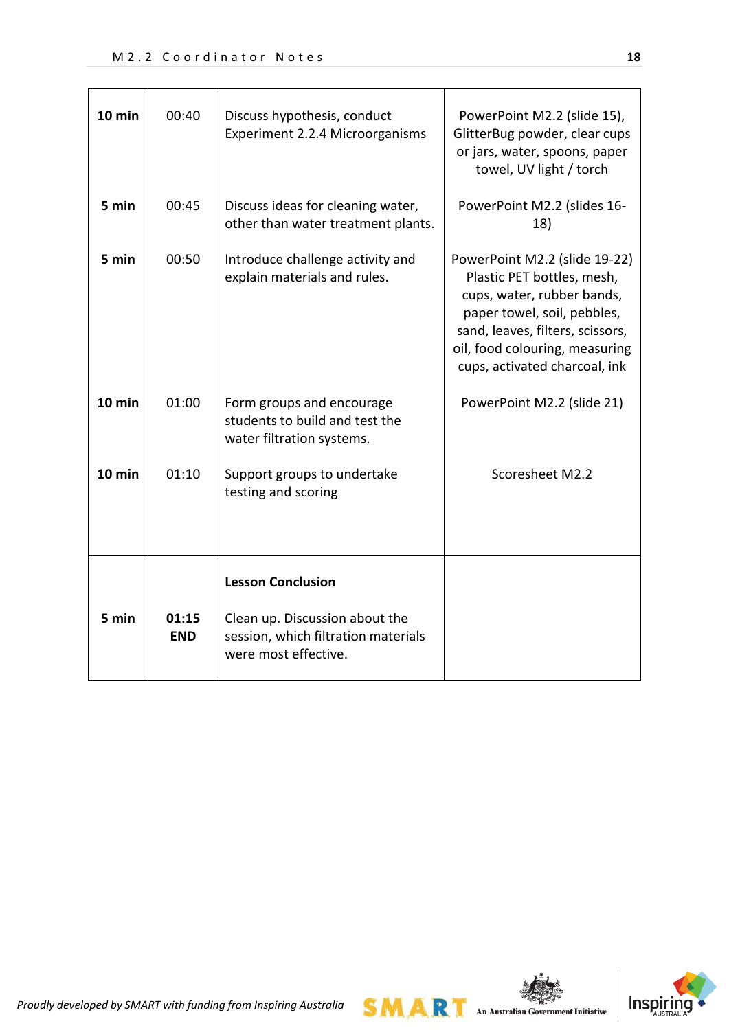| 10 min   | 00:40               | Discuss hypothesis, conduct<br>Experiment 2.2.4 Microorganisms                                | PowerPoint M2.2 (slide 15),<br>GlitterBug powder, clear cups<br>or jars, water, spoons, paper<br>towel, UV light / torch                                                                                                        |
|----------|---------------------|-----------------------------------------------------------------------------------------------|---------------------------------------------------------------------------------------------------------------------------------------------------------------------------------------------------------------------------------|
| 5 min    | 00:45               | Discuss ideas for cleaning water,<br>other than water treatment plants.                       | PowerPoint M2.2 (slides 16-<br>18)                                                                                                                                                                                              |
| 5 min    | 00:50               | Introduce challenge activity and<br>explain materials and rules.                              | PowerPoint M2.2 (slide 19-22)<br>Plastic PET bottles, mesh,<br>cups, water, rubber bands,<br>paper towel, soil, pebbles,<br>sand, leaves, filters, scissors,<br>oil, food colouring, measuring<br>cups, activated charcoal, ink |
| $10$ min | 01:00               | Form groups and encourage<br>students to build and test the<br>water filtration systems.      | PowerPoint M2.2 (slide 21)                                                                                                                                                                                                      |
| 10 min   | 01:10               | Support groups to undertake<br>testing and scoring                                            | Scoresheet M2.2                                                                                                                                                                                                                 |
|          |                     | <b>Lesson Conclusion</b>                                                                      |                                                                                                                                                                                                                                 |
| 5 min    | 01:15<br><b>END</b> | Clean up. Discussion about the<br>session, which filtration materials<br>were most effective. |                                                                                                                                                                                                                                 |

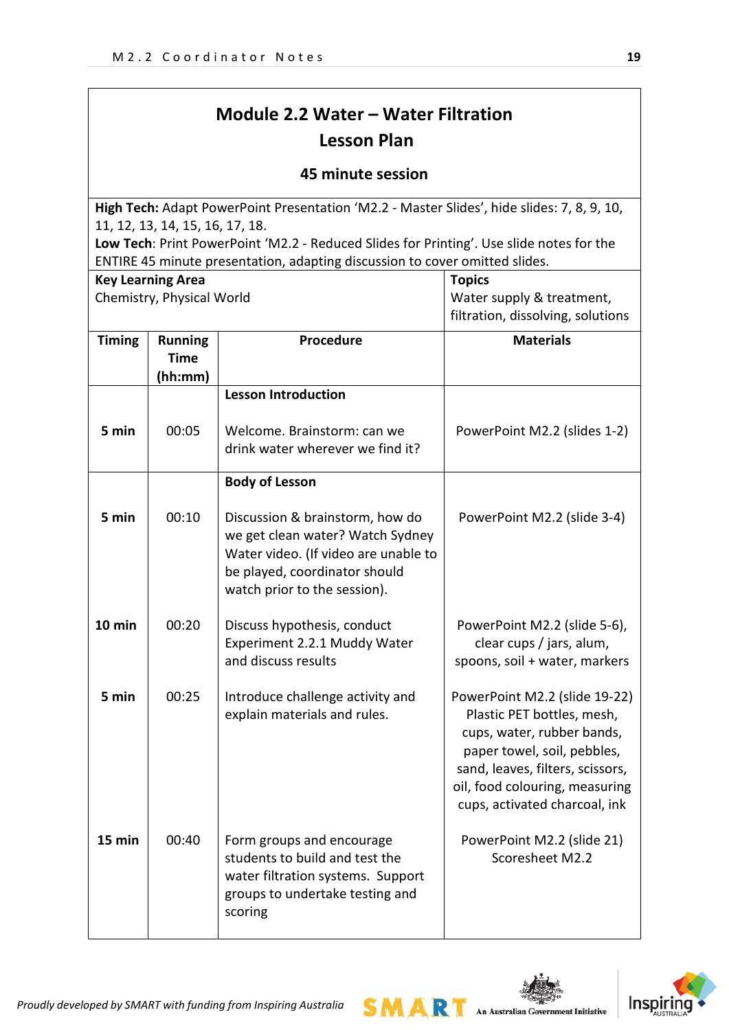# **Module 2.2 Water – Water Filtration Lesson Plan**

## **45 minute session**

**High Tech:** Adapt PowerPoint Presentation 'M2.2 - Master Slides', hide slides: 7, 8, 9, 10, 11, 12, 13, 14, 15, 16, 17, 18.

**Low Tech**: Print PowerPoint 'M2.2 - Reduced Slides for Printing'. Use slide notes for the ENTIRE 45 minute presentation, adapting discussion to cover omitted slides.

| <b>Key Learning Area</b>  |                                          |                                                                                                                                                                              | <b>Topics</b>                                                                                                                                                                                                                   |  |
|---------------------------|------------------------------------------|------------------------------------------------------------------------------------------------------------------------------------------------------------------------------|---------------------------------------------------------------------------------------------------------------------------------------------------------------------------------------------------------------------------------|--|
| Chemistry, Physical World |                                          |                                                                                                                                                                              | Water supply & treatment,                                                                                                                                                                                                       |  |
|                           |                                          |                                                                                                                                                                              | filtration, dissolving, solutions                                                                                                                                                                                               |  |
| <b>Timing</b>             | <b>Running</b><br><b>Time</b><br>(hh:mm) | Procedure                                                                                                                                                                    | <b>Materials</b>                                                                                                                                                                                                                |  |
|                           |                                          | <b>Lesson Introduction</b>                                                                                                                                                   |                                                                                                                                                                                                                                 |  |
| 5 min                     | 00:05                                    | Welcome. Brainstorm: can we<br>drink water wherever we find it?                                                                                                              | PowerPoint M2.2 (slides 1-2)                                                                                                                                                                                                    |  |
|                           |                                          | <b>Body of Lesson</b>                                                                                                                                                        |                                                                                                                                                                                                                                 |  |
| 5 min                     | 00:10                                    | Discussion & brainstorm, how do<br>we get clean water? Watch Sydney<br>Water video. (If video are unable to<br>be played, coordinator should<br>watch prior to the session). | PowerPoint M2.2 (slide 3-4)                                                                                                                                                                                                     |  |
| $10$ min                  | 00:20                                    | Discuss hypothesis, conduct<br>Experiment 2.2.1 Muddy Water<br>and discuss results                                                                                           | PowerPoint M2.2 (slide 5-6),<br>clear cups / jars, alum,<br>spoons, soil + water, markers                                                                                                                                       |  |
| 5 min                     | 00:25                                    | Introduce challenge activity and<br>explain materials and rules.                                                                                                             | PowerPoint M2.2 (slide 19-22)<br>Plastic PET bottles, mesh,<br>cups, water, rubber bands,<br>paper towel, soil, pebbles,<br>sand, leaves, filters, scissors,<br>oil, food colouring, measuring<br>cups, activated charcoal, ink |  |
| 15 min                    | 00:40                                    | Form groups and encourage<br>students to build and test the<br>water filtration systems. Support<br>groups to undertake testing and<br>scoring                               | PowerPoint M2.2 (slide 21)<br>Scoresheet M2.2                                                                                                                                                                                   |  |

SMAR

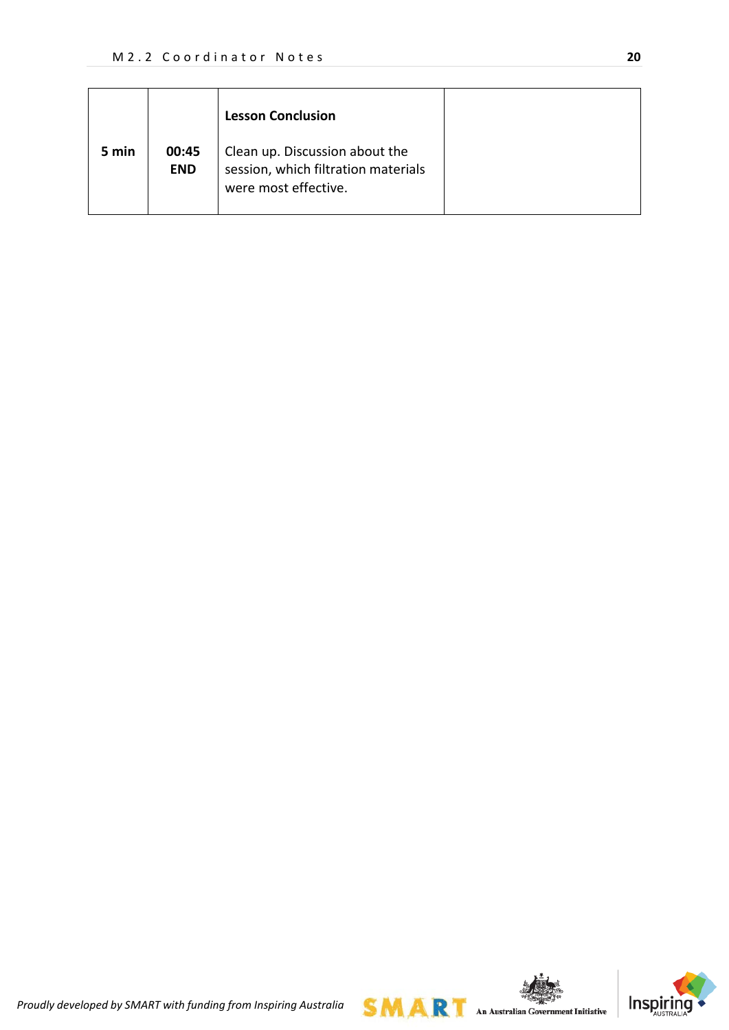|       |                     | <b>Lesson Conclusion</b>                                                                      |
|-------|---------------------|-----------------------------------------------------------------------------------------------|
| 5 min | 00:45<br><b>END</b> | Clean up. Discussion about the<br>session, which filtration materials<br>were most effective. |



*Proudly developed by SMART with funding from Inspiring Australia*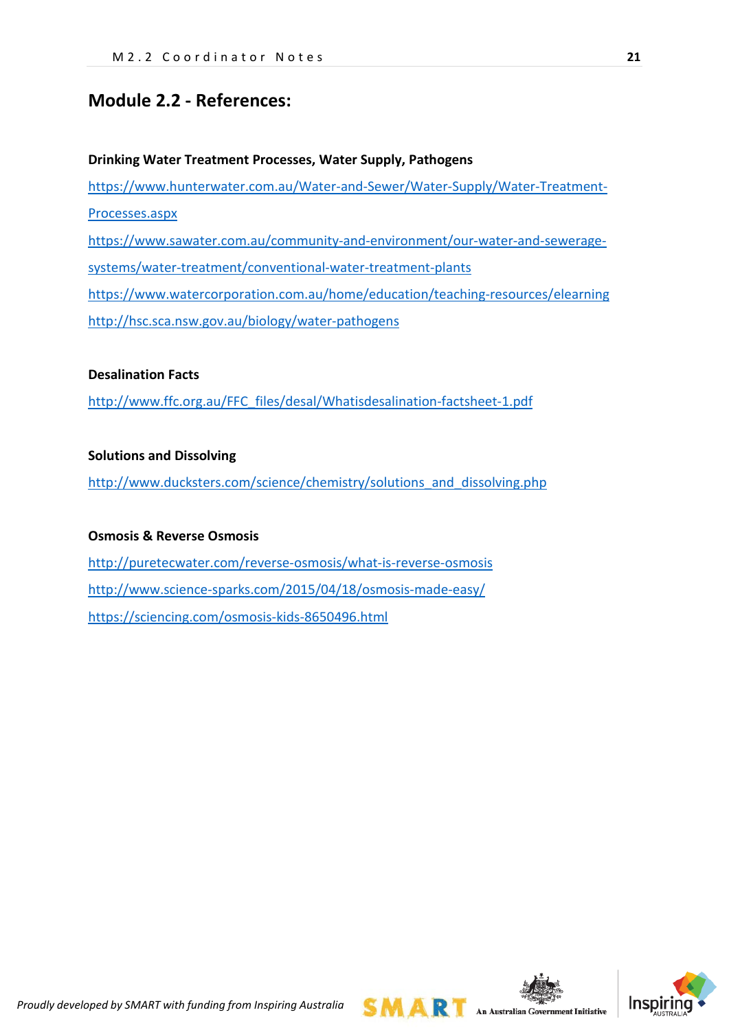# **Module 2.2 - References:**

# **Drinking Water Treatment Processes, Water Supply, Pathogens** [https://www.hunterwater.com.au/Water-and-Sewer/Water-Supply/Water-Treatment-](https://www.hunterwater.com.au/Water-and-Sewer/Water-Supply/Water-Treatment-Processes.aspx)[Processes.aspx](https://www.hunterwater.com.au/Water-and-Sewer/Water-Supply/Water-Treatment-Processes.aspx) [https://www.sawater.com.au/community-and-environment/our-water-and-sewerage-](https://www.sawater.com.au/community-and-environment/our-water-and-sewerage-systems/water-treatment/conventional-water-treatment-plants)

[systems/water-treatment/conventional-water-treatment-plants](https://www.sawater.com.au/community-and-environment/our-water-and-sewerage-systems/water-treatment/conventional-water-treatment-plants)

<https://www.watercorporation.com.au/home/education/teaching-resources/elearning> <http://hsc.sca.nsw.gov.au/biology/water-pathogens>

#### **Desalination Facts**

[http://www.ffc.org.au/FFC\\_files/desal/Whatisdesalination-factsheet-1.pdf](http://www.ffc.org.au/FFC_files/desal/Whatisdesalination-factsheet-1.pdf)

#### **Solutions and Dissolving**

[http://www.ducksters.com/science/chemistry/solutions\\_and\\_dissolving.php](http://www.ducksters.com/science/chemistry/solutions_and_dissolving.php)

#### **Osmosis & Reverse Osmosis**

<http://puretecwater.com/reverse-osmosis/what-is-reverse-osmosis> <http://www.science-sparks.com/2015/04/18/osmosis-made-easy/> <https://sciencing.com/osmosis-kids-8650496.html>

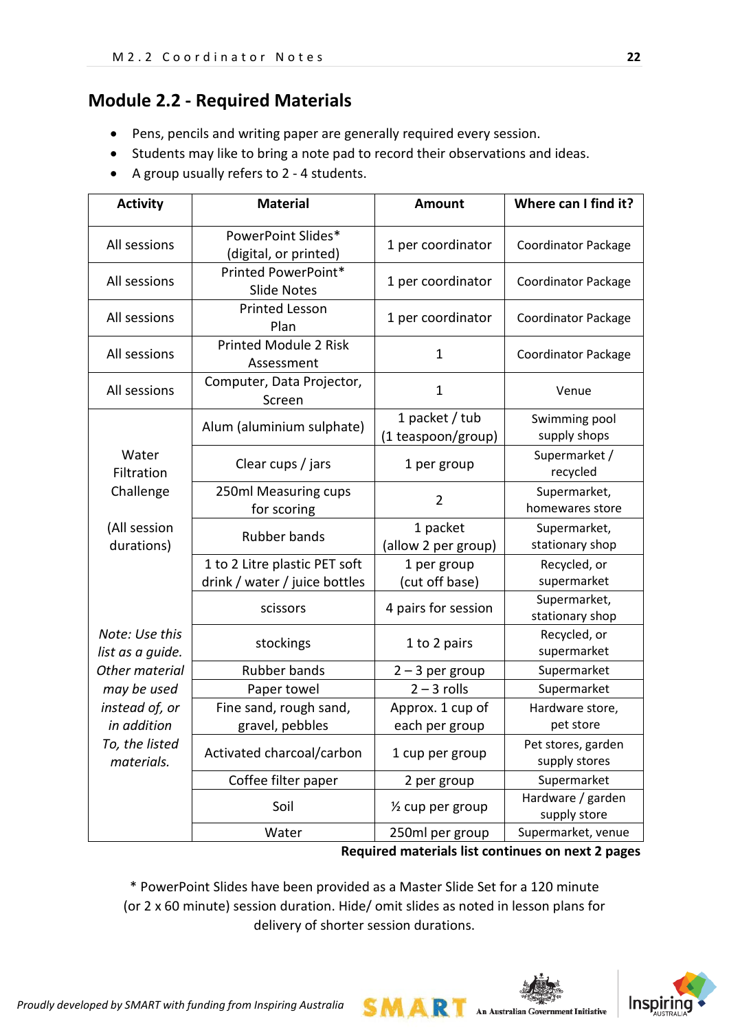# **Module 2.2 - Required Materials**

- Pens, pencils and writing paper are generally required every session.
- Students may like to bring a note pad to record their observations and ideas.
- A group usually refers to 2 4 students.

| <b>Activity</b>                    | <b>Material</b>                                                | <b>Amount</b>                        | Where can I find it?                |
|------------------------------------|----------------------------------------------------------------|--------------------------------------|-------------------------------------|
| All sessions                       | PowerPoint Slides*<br>(digital, or printed)                    | 1 per coordinator                    | <b>Coordinator Package</b>          |
| All sessions                       | Printed PowerPoint*<br><b>Slide Notes</b>                      | 1 per coordinator                    | <b>Coordinator Package</b>          |
| All sessions                       | <b>Printed Lesson</b><br>Plan                                  | 1 per coordinator                    | <b>Coordinator Package</b>          |
| All sessions                       | <b>Printed Module 2 Risk</b><br>Assessment                     | 1                                    | <b>Coordinator Package</b>          |
| All sessions                       | Computer, Data Projector,<br>Screen                            | $\mathbf{1}$                         | Venue                               |
|                                    | Alum (aluminium sulphate)                                      | 1 packet / tub<br>(1 teaspoon/group) | Swimming pool<br>supply shops       |
| Water<br>Filtration                | Clear cups / jars                                              | 1 per group                          | Supermarket /<br>recycled           |
| Challenge                          | 250ml Measuring cups<br>for scoring                            | $\overline{2}$                       | Supermarket,<br>homewares store     |
| (All session<br>durations)         | <b>Rubber bands</b>                                            | 1 packet<br>(allow 2 per group)      | Supermarket,<br>stationary shop     |
|                                    | 1 to 2 Litre plastic PET soft<br>drink / water / juice bottles | 1 per group<br>(cut off base)        | Recycled, or<br>supermarket         |
|                                    | scissors                                                       | 4 pairs for session                  | Supermarket,<br>stationary shop     |
| Note: Use this<br>list as a guide. | stockings                                                      | 1 to 2 pairs                         | Recycled, or<br>supermarket         |
| Other material                     | <b>Rubber bands</b>                                            | $2 - 3$ per group                    | Supermarket                         |
| may be used                        | Paper towel                                                    | $2 - 3$ rolls                        | Supermarket                         |
| instead of, or<br>in addition      | Fine sand, rough sand,<br>gravel, pebbles                      | Approx. 1 cup of<br>each per group   | Hardware store,<br>pet store        |
| To, the listed<br>materials.       | Activated charcoal/carbon                                      | 1 cup per group                      | Pet stores, garden<br>supply stores |
|                                    | Coffee filter paper                                            | 2 per group                          | Supermarket                         |
|                                    | Soil                                                           | 1/2 cup per group                    | Hardware / garden<br>supply store   |
|                                    | Water                                                          | 250ml per group                      | Supermarket, venue                  |

#### **Required materials list continues on next 2 pages**

\* PowerPoint Slides have been provided as a Master Slide Set for a 120 minute (or 2 x 60 minute) session duration. Hide/ omit slides as noted in lesson plans for delivery of shorter session durations.

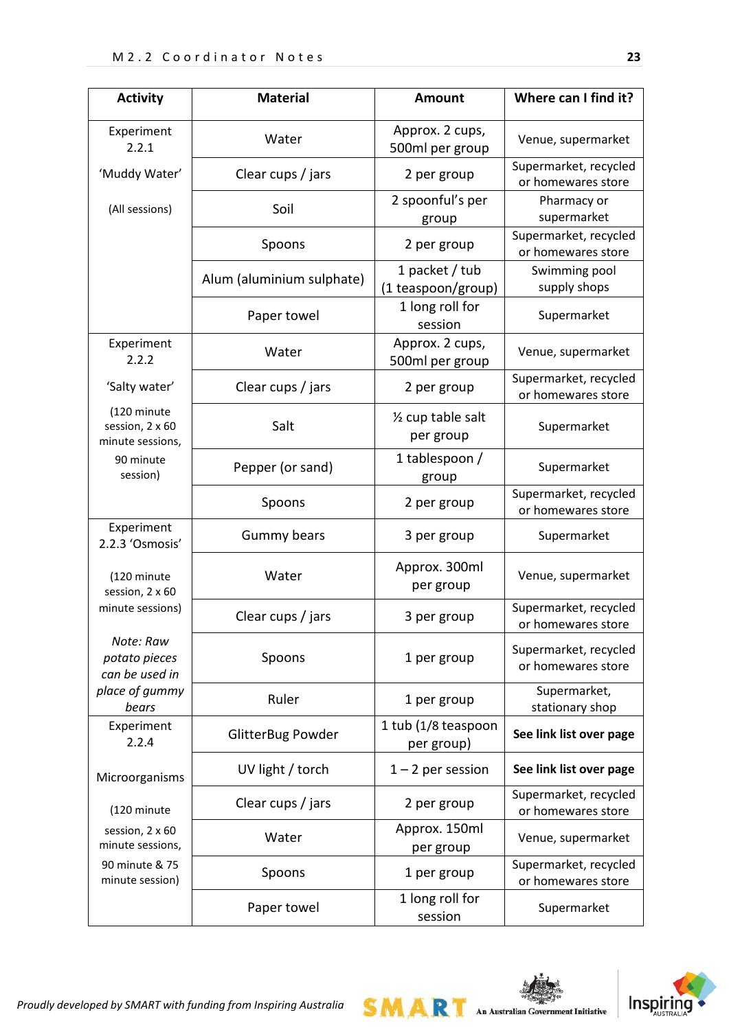| <b>Activity</b>                                    | <b>Material</b>                                                                                                                                                                                                                                                                                                                  | <b>Amount</b>                               | Where can I find it?                        |
|----------------------------------------------------|----------------------------------------------------------------------------------------------------------------------------------------------------------------------------------------------------------------------------------------------------------------------------------------------------------------------------------|---------------------------------------------|---------------------------------------------|
| Experiment<br>2.2.1                                | Water                                                                                                                                                                                                                                                                                                                            | Approx. 2 cups,<br>500ml per group          | Venue, supermarket                          |
| 'Muddy Water'                                      | Clear cups / jars                                                                                                                                                                                                                                                                                                                | 2 per group                                 | Supermarket, recycled<br>or homewares store |
| (All sessions)                                     | Soil                                                                                                                                                                                                                                                                                                                             | 2 spoonful's per<br>group                   | Pharmacy or<br>supermarket                  |
|                                                    | Spoons                                                                                                                                                                                                                                                                                                                           | 2 per group                                 | Supermarket, recycled<br>or homewares store |
|                                                    | Alum (aluminium sulphate)                                                                                                                                                                                                                                                                                                        | 1 packet / tub<br>(1 teaspoon/group)        | Swimming pool<br>supply shops               |
|                                                    | Paper towel                                                                                                                                                                                                                                                                                                                      | 1 long roll for<br>session                  | Supermarket                                 |
| Experiment<br>2.2.2                                | Water                                                                                                                                                                                                                                                                                                                            | Approx. 2 cups,<br>500ml per group          | Venue, supermarket                          |
| 'Salty water'                                      | Clear cups / jars                                                                                                                                                                                                                                                                                                                | 2 per group                                 | Supermarket, recycled<br>or homewares store |
| (120 minute<br>session, 2 x 60<br>minute sessions, | Salt                                                                                                                                                                                                                                                                                                                             | $\frac{1}{2}$ cup table salt<br>per group   | Supermarket                                 |
| 90 minute<br>session)                              | Pepper (or sand)                                                                                                                                                                                                                                                                                                                 | 1 tablespoon /                              | Supermarket                                 |
|                                                    | Spoons                                                                                                                                                                                                                                                                                                                           | 2 per group                                 | Supermarket, recycled<br>or homewares store |
| Experiment<br>2.2.3 'Osmosis'                      | Gummy bears                                                                                                                                                                                                                                                                                                                      | 3 per group                                 | Supermarket                                 |
| (120 minute<br>session, 2 x 60                     | Water                                                                                                                                                                                                                                                                                                                            | Approx. 300ml<br>per group                  | Venue, supermarket                          |
| minute sessions)                                   | group<br>Clear cups / jars<br>3 per group<br>Spoons<br>1 per group<br>Ruler<br>1 per group<br><b>GlitterBug Powder</b><br>per group)<br>UV light / torch<br>$1 - 2$ per session<br>Clear cups / jars<br>2 per group<br>Approx. 150ml<br>Water<br>per group<br>Spoons<br>1 per group<br>1 long roll for<br>Paper towel<br>session | Supermarket, recycled<br>or homewares store |                                             |
| Note: Raw<br>potato pieces<br>can be used in       |                                                                                                                                                                                                                                                                                                                                  |                                             | Supermarket, recycled<br>or homewares store |
| place of gummy<br>bears                            |                                                                                                                                                                                                                                                                                                                                  |                                             | Supermarket,<br>stationary shop             |
| Experiment<br>2.2.4                                |                                                                                                                                                                                                                                                                                                                                  | 1 tub (1/8 teaspoon                         | See link list over page                     |
| Microorganisms                                     |                                                                                                                                                                                                                                                                                                                                  |                                             | See link list over page                     |
| (120 minute                                        |                                                                                                                                                                                                                                                                                                                                  |                                             | Supermarket, recycled<br>or homewares store |
| session, 2 x 60<br>minute sessions,                |                                                                                                                                                                                                                                                                                                                                  |                                             | Venue, supermarket                          |
| 90 minute & 75<br>minute session)                  |                                                                                                                                                                                                                                                                                                                                  |                                             | Supermarket, recycled<br>or homewares store |
|                                                    |                                                                                                                                                                                                                                                                                                                                  |                                             | Supermarket                                 |